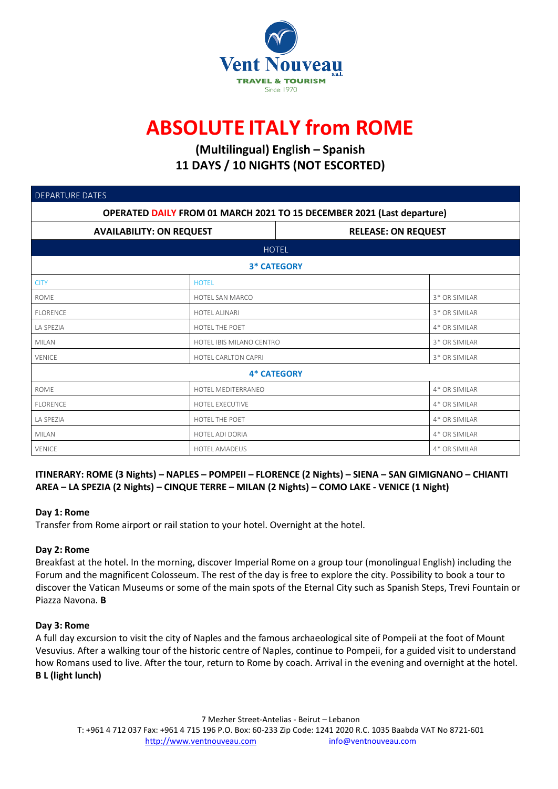

# **ABSOLUTE ITALY from ROME**

## **(Multilingual) English – Spanish 11 DAYS / 10 NIGHTS (NOT ESCORTED)**

| <b>DEPARTURE DATES</b>                                                        |                            |                          |                            |  |  |  |
|-------------------------------------------------------------------------------|----------------------------|--------------------------|----------------------------|--|--|--|
| <b>OPERATED DAILY FROM 01 MARCH 2021 TO 15 DECEMBER 2021 (Last departure)</b> |                            |                          |                            |  |  |  |
| <b>AVAILABILITY: ON REQUEST</b>                                               |                            |                          | <b>RELEASE: ON REQUEST</b> |  |  |  |
| <b>HOTEL</b>                                                                  |                            |                          |                            |  |  |  |
| <b>3* CATEGORY</b>                                                            |                            |                          |                            |  |  |  |
| <b>CITY</b>                                                                   | <b>HOTEL</b>               |                          |                            |  |  |  |
| <b>ROME</b>                                                                   | HOTEL SAN MARCO            |                          |                            |  |  |  |
| <b>FLORENCE</b>                                                               | <b>HOTEL ALINARI</b>       |                          |                            |  |  |  |
| LA SPEZIA                                                                     | HOTEL THE POET             |                          |                            |  |  |  |
| <b>MILAN</b>                                                                  |                            | HOTEL IBIS MILANO CENTRO |                            |  |  |  |
| <b>VENICE</b>                                                                 | <b>HOTEL CARLTON CAPRI</b> |                          |                            |  |  |  |
| <b>4* CATEGORY</b>                                                            |                            |                          |                            |  |  |  |
| <b>ROME</b>                                                                   | HOTEL MEDITERRANEO         |                          |                            |  |  |  |
| <b>FLORENCE</b>                                                               | <b>HOTEL EXECUTIVE</b>     | 4* OR SIMILAR            |                            |  |  |  |
| LA SPEZIA                                                                     | HOTEL THE POET             | 4* OR SIMILAR            |                            |  |  |  |
| <b>MILAN</b>                                                                  | HOTEL ADI DORIA            | 4* OR SIMILAR            |                            |  |  |  |
| <b>VENICE</b>                                                                 | <b>HOTEL AMADEUS</b>       | 4* OR SIMILAR            |                            |  |  |  |

### ITINERARY: ROME (3 Nights) - NAPLES - POMPEII - FLORENCE (2 Nights) - SIENA - SAN GIMIGNANO - CHIANTI **AREA – LA SPEZIA (2 Nights) – CINQUE TERRE – MILAN (2 Nights) – COMO LAKE - VENICE (1 Night)**

#### **Day 1: Rome**

Transfer from Rome airport or rail station to your hotel. Overnight at the hotel.

#### **Day 2: Rome**

Breakfast at the hotel. In the morning, discover Imperial Rome on a group tour (monolingual English) including the Forum and the magnificent Colosseum. The rest of the day is free to explore the city. Possibility to book a tour to discover the Vatican Museums or some of the main spots of the Eternal City such as Spanish Steps, Trevi Fountain or Piazza Navona. **B**

#### **Day 3: Rome**

A full day excursion to visit the city of Naples and the famous archaeological site of Pompeii at the foot of Mount Vesuvius. After a walking tour of the historic centre of Naples, continue to Pompeii, for a guided visit to understand how Romans used to live. After the tour, return to Rome by coach. Arrival in the evening and overnight at the hotel. **B L (light lunch)**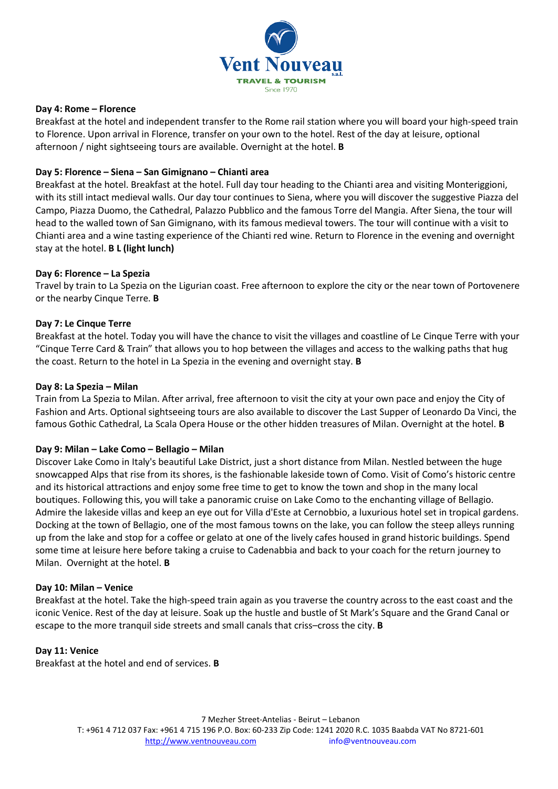

#### **Day 4: Rome – Florence**

Breakfast at the hotel and independent transfer to the Rome rail station where you will board your high-speed train to Florence. Upon arrival in Florence, transfer on your own to the hotel. Rest of the day at leisure, optional afternoon / night sightseeing tours are available. Overnight at the hotel. **B**

#### **Day 5: Florence – Siena – San Gimignano – Chianti area**

Breakfast at the hotel. Breakfast at the hotel. Full day tour heading to the Chianti area and visiting Monteriggioni, with its still intact medieval walls. Our day tour continues to Siena, where you will discover the suggestive Piazza del Campo, Piazza Duomo, the Cathedral, Palazzo Pubblico and the famous Torre del Mangia. After Siena, the tour will head to the walled town of San Gimignano, with its famous medieval towers. The tour will continue with a visit to Chianti area and a wine tasting experience of the Chianti red wine. Return to Florence in the evening and overnight stay at the hotel. **B L (light lunch)**

#### **Day 6: Florence – La Spezia**

Travel by train to La Spezia on the Ligurian coast. Free afternoon to explore the city or the near town of Portovenere or the nearby Cinque Terre. **B**

#### **Day 7: Le Cinque Terre**

Breakfast at the hotel. Today you will have the chance to visit the villages and coastline of Le Cinque Terre with your "Cinque Terre Card & Train" that allows you to hop between the villages and access to the walking paths that hug the coast. Return to the hotel in La Spezia in the evening and overnight stay. **B**

#### **Day 8: La Spezia – Milan**

Train from La Spezia to Milan. After arrival, free afternoon to visit the city at your own pace and enjoy the City of Fashion and Arts. Optional sightseeing tours are also available to discover the Last Supper of Leonardo Da Vinci, the famous Gothic Cathedral, La Scala Opera House or the other hidden treasures of Milan. Overnight at the hotel. **B**

#### **Day 9: Milan – Lake Como – Bellagio – Milan**

Discover Lake Como in Italy's beautiful Lake District, just a short distance from Milan. Nestled between the huge snowcapped Alps that rise from its shores, is the fashionable lakeside town of Como. Visit of Como's historic centre and its historical attractions and enjoy some free time to get to know the town and shop in the many local boutiques. Following this, you will take a panoramic cruise on Lake Como to the enchanting village of Bellagio. Admire the lakeside villas and keep an eye out for Villa d'Este at Cernobbio, a luxurious hotel set in tropical gardens. Docking at the town of Bellagio, one of the most famous towns on the lake, you can follow the steep alleys running up from the lake and stop for a coffee or gelato at one of the lively cafes housed in grand historic buildings. Spend some time at leisure here before taking a cruise to Cadenabbia and back to your coach for the return journey to Milan. Overnight at the hotel. **B**

#### **Day 10: Milan – Venice**

Breakfast at the hotel. Take the high-speed train again as you traverse the country across to the east coast and the iconic Venice. Rest of the day at leisure. Soak up the hustle and bustle of St Mark's Square and the Grand Canal or escape to the more tranquil side streets and small canals that criss–cross the city. **B**

#### **Day 11: Venice**

Breakfast at the hotel and end of services. **B**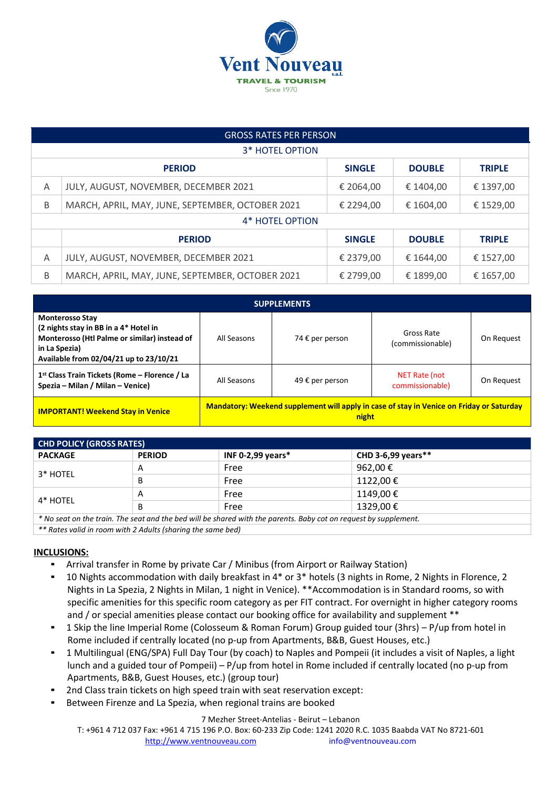

| <b>GROSS RATES PER PERSON</b> |                                                                  |               |               |               |  |
|-------------------------------|------------------------------------------------------------------|---------------|---------------|---------------|--|
| <b>3* HOTEL OPTION</b>        |                                                                  |               |               |               |  |
|                               | <b>SINGLE</b><br><b>DOUBLE</b><br><b>PERIOD</b><br><b>TRIPLE</b> |               |               |               |  |
| Α                             | JULY, AUGUST, NOVEMBER, DECEMBER 2021                            | € 2064,00     | € 1404,00     | € 1397,00     |  |
| B                             | MARCH, APRIL, MAY, JUNE, SEPTEMBER, OCTOBER 2021                 | € 2294.00     | € 1604.00     | € 1529,00     |  |
| 4* HOTEL OPTION               |                                                                  |               |               |               |  |
|                               | <b>PERIOD</b>                                                    | <b>SINGLE</b> | <b>DOUBLE</b> | <b>TRIPLE</b> |  |
| A                             | JULY, AUGUST, NOVEMBER, DECEMBER 2021                            | € 2379,00     | € 1644,00     | € 1527,00     |  |
| B                             | MARCH, APRIL, MAY, JUNE, SEPTEMBER, OCTOBER 2021                 | € 2799,00     | € 1899,00     | € 1657,00     |  |

| <b>SUPPLEMENTS</b>                                                                                                                                                         |                                                                                                   |                 |                                  |            |  |  |
|----------------------------------------------------------------------------------------------------------------------------------------------------------------------------|---------------------------------------------------------------------------------------------------|-----------------|----------------------------------|------------|--|--|
| <b>Monterosso Stay</b><br>(2 nights stay in BB in a 4* Hotel in<br>Monterosso (Htl Palme or similar) instead of<br>in La Spezia)<br>Available from 02/04/21 up to 23/10/21 | All Seasons                                                                                       | 74 € per person | Gross Rate<br>(commissionable)   | On Request |  |  |
| 1 <sup>st</sup> Class Train Tickets (Rome – Florence / La<br>Spezia – Milan / Milan – Venice)                                                                              | All Seasons                                                                                       | 49 € per person | NET Rate (not<br>commissionable) | On Request |  |  |
| <b>IMPORTANT! Weekend Stay in Venice</b>                                                                                                                                   | Mandatory: Weekend supplement will apply in case of stay in Venice on Friday or Saturday<br>night |                 |                                  |            |  |  |

| <b>CHD POLICY (GROSS RATES)</b>                                                                                  |               |                      |                     |  |  |  |
|------------------------------------------------------------------------------------------------------------------|---------------|----------------------|---------------------|--|--|--|
| <b>PACKAGE</b>                                                                                                   | <b>PERIOD</b> | INF 0-2,99 years $*$ | CHD 3-6,99 years ** |  |  |  |
| 3* HOTEL                                                                                                         | A             | Free                 | 962.00€             |  |  |  |
|                                                                                                                  | B             | Free                 | 1122.00 €           |  |  |  |
| 4* HOTEL                                                                                                         | А             | Free                 | 1149,00€            |  |  |  |
|                                                                                                                  | B             | Free                 | 1329,00€            |  |  |  |
| * No seat on the train. The seat and the bed will be shared with the parents. Baby cot on request by supplement. |               |                      |                     |  |  |  |

*\*\* Rates valid in room with 2 Adults (sharing the same bed)*

#### **INCLUSIONS:**

- Arrival transfer in Rome by private Car / Minibus (from Airport or Railway Station)
- 10 Nights accommodation with daily breakfast in 4\* or 3\* hotels (3 nights in Rome, 2 Nights in Florence, 2 Nights in La Spezia, 2 Nights in Milan, 1 night in Venice). \*\*Accommodation is in Standard rooms, so with specific amenities for this specific room category as per FIT contract. For overnight in higher category rooms and / or special amenities please contact our booking office for availability and supplement \*\*
- 1 Skip the line Imperial Rome (Colosseum & Roman Forum) Group guided tour (3hrs) P/up from hotel in Rome included if centrally located (no p-up from Apartments, B&B, Guest Houses, etc.)
- 1 Multilingual (ENG/SPA) Full Day Tour (by coach) to Naples and Pompeii (it includes a visit of Naples, a light lunch and a guided tour of Pompeii) – P/up from hotel in Rome included if centrally located (no p-up from Apartments, B&B, Guest Houses, etc.) (group tour)
- 2nd Class train tickets on high speed train with seat reservation except:
- Between Firenze and La Spezia, when regional trains are booked

#### 7 Mezher Street-Antelias - Beirut – Lebanon

T: +961 4 712 037 Fax: +961 4 715 196 P.O. Box: 60-233 Zip Code: 1241 2020 R.C. 1035 Baabda VAT No 8721-601 [http://www.ventnouveau.com](http://www.ventnouveau.com/) info@ventnouveau.com